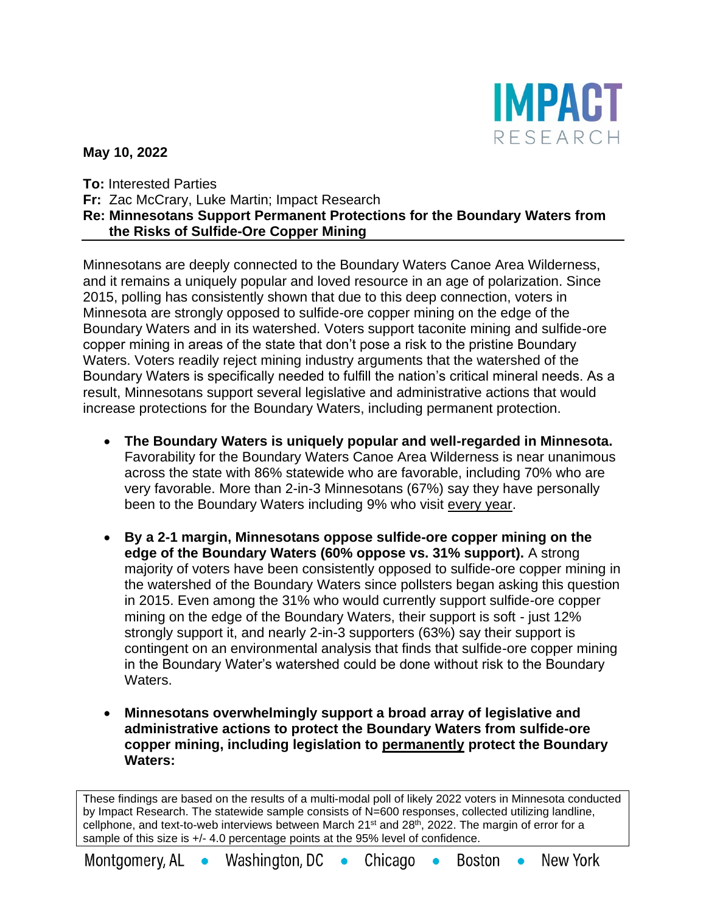

**May 10, 2022**

**To:** Interested Parties **Fr:** Zac McCrary, Luke Martin; Impact Research **Re: Minnesotans Support Permanent Protections for the Boundary Waters from the Risks of Sulfide-Ore Copper Mining**

Minnesotans are deeply connected to the Boundary Waters Canoe Area Wilderness, and it remains a uniquely popular and loved resource in an age of polarization. Since 2015, polling has consistently shown that due to this deep connection, voters in Minnesota are strongly opposed to sulfide-ore copper mining on the edge of the Boundary Waters and in its watershed. Voters support taconite mining and sulfide-ore copper mining in areas of the state that don't pose a risk to the pristine Boundary Waters. Voters readily reject mining industry arguments that the watershed of the Boundary Waters is specifically needed to fulfill the nation's critical mineral needs. As a result, Minnesotans support several legislative and administrative actions that would increase protections for the Boundary Waters, including permanent protection.

- **The Boundary Waters is uniquely popular and well-regarded in Minnesota.**  Favorability for the Boundary Waters Canoe Area Wilderness is near unanimous across the state with 86% statewide who are favorable, including 70% who are very favorable. More than 2-in-3 Minnesotans (67%) say they have personally been to the Boundary Waters including 9% who visit every year.
- **By a 2-1 margin, Minnesotans oppose sulfide-ore copper mining on the edge of the Boundary Waters (60% oppose vs. 31% support).** A strong majority of voters have been consistently opposed to sulfide-ore copper mining in the watershed of the Boundary Waters since pollsters began asking this question in 2015. Even among the 31% who would currently support sulfide-ore copper mining on the edge of the Boundary Waters, their support is soft - just 12% strongly support it, and nearly 2-in-3 supporters (63%) say their support is contingent on an environmental analysis that finds that sulfide-ore copper mining in the Boundary Water's watershed could be done without risk to the Boundary Waters.
- **Minnesotans overwhelmingly support a broad array of legislative and administrative actions to protect the Boundary Waters from sulfide-ore copper mining, including legislation to permanently protect the Boundary Waters:**

These findings are based on the results of a multi-modal poll of likely 2022 voters in Minnesota conducted by Impact Research. The statewide sample consists of N=600 responses, collected utilizing landline, cellphone, and text-to-web interviews between March 21st and 28<sup>th</sup>, 2022. The margin of error for a sample of this size is  $+/$ -4.0 percentage points at the 95% level of confidence.